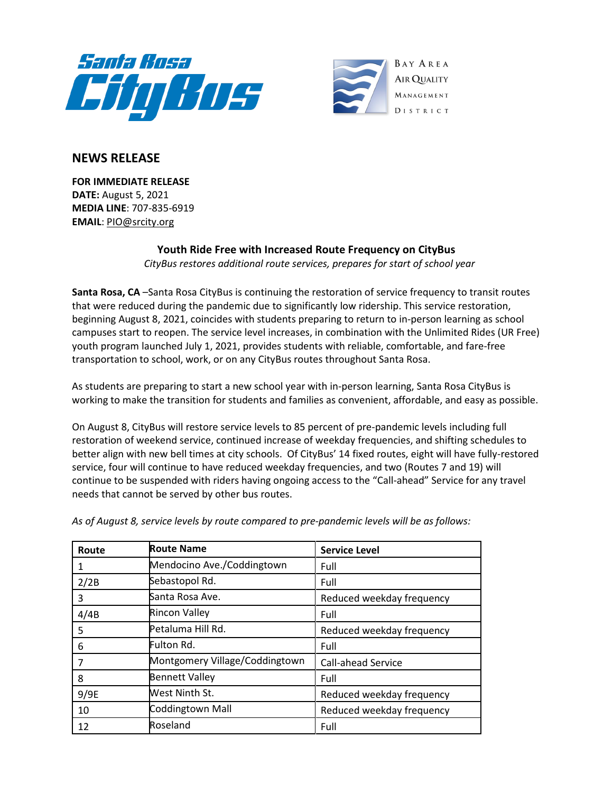



## **NEWS RELEASE**

**FOR IMMEDIATE RELEASE DATE:** August 5, 2021 **MEDIA LINE**: 707-835-6919 **EMAIL**: [PIO@srcity.org](mailto:PIO@srcity.org)

## **Youth Ride Free with Increased Route Frequency on CityBus**

*CityBus restores additional route services, prepares for start of school year*

**Santa Rosa, CA** –Santa Rosa CityBus is continuing the restoration of service frequency to transit routes that were reduced during the pandemic due to significantly low ridership. This service restoration, beginning August 8, 2021, coincides with students preparing to return to in-person learning as school campuses start to reopen. The service level increases, in combination with the Unlimited Rides (UR Free) youth program launched July 1, 2021, provides students with reliable, comfortable, and fare-free transportation to school, work, or on any CityBus routes throughout Santa Rosa.

As students are preparing to start a new school year with in-person learning, Santa Rosa CityBus is working to make the transition for students and families as convenient, affordable, and easy as possible.

On August 8, CityBus will restore service levels to 85 percent of pre-pandemic levels including full restoration of weekend service, continued increase of weekday frequencies, and shifting schedules to better align with new bell times at city schools. Of CityBus' 14 fixed routes, eight will have fully-restored service, four will continue to have reduced weekday frequencies, and two (Routes 7 and 19) will continue to be suspended with riders having ongoing access to the "Call-ahead" Service for any travel needs that cannot be served by other bus routes.

| Route | <b>Route Name</b>              | <b>Service Level</b>      |
|-------|--------------------------------|---------------------------|
|       | Mendocino Ave./Coddingtown     | Full                      |
| 2/2B  | Sebastopol Rd.                 | Full                      |
| 3     | Santa Rosa Ave.                | Reduced weekday frequency |
| 4/4B  | <b>Rincon Valley</b>           | Full                      |
| 5     | Petaluma Hill Rd.              | Reduced weekday frequency |
| 6     | Fulton Rd.                     | Full                      |
|       | Montgomery Village/Coddingtown | Call-ahead Service        |
| 8     | <b>Bennett Valley</b>          | Full                      |
| 9/9E  | West Ninth St.                 | Reduced weekday frequency |
| 10    | Coddingtown Mall               | Reduced weekday frequency |
| 12    | Roseland                       | Full                      |

*As of August 8, service levels by route compared to pre-pandemic levels will be as follows:*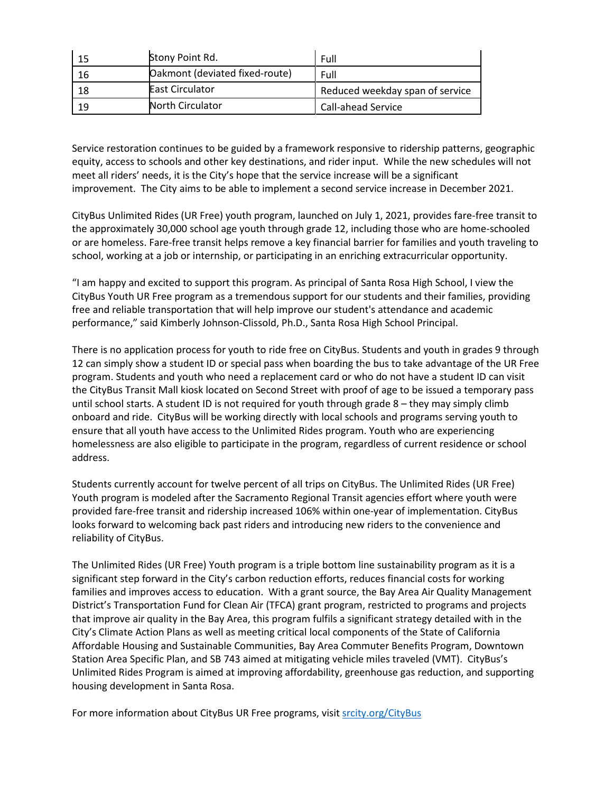| 15 | Stony Point Rd.                | Full                            |
|----|--------------------------------|---------------------------------|
| 16 | Oakmont (deviated fixed-route) | Full                            |
| 18 | <b>East Circulator</b>         | Reduced weekday span of service |
| 19 | <b>North Circulator</b>        | <b>Call-ahead Service</b>       |

Service restoration continues to be guided by a framework responsive to ridership patterns, geographic equity, access to schools and other key destinations, and rider input. While the new schedules will not meet all riders' needs, it is the City's hope that the service increase will be a significant improvement. The City aims to be able to implement a second service increase in December 2021.

CityBus Unlimited Rides (UR Free) youth program, launched on July 1, 2021, provides fare-free transit to the approximately 30,000 school age youth through grade 12, including those who are home-schooled or are homeless. Fare-free transit helps remove a key financial barrier for families and youth traveling to school, working at a job or internship, or participating in an enriching extracurricular opportunity.

"I am happy and excited to support this program. As principal of Santa Rosa High School, I view the CityBus Youth UR Free program as a tremendous support for our students and their families, providing free and reliable transportation that will help improve our student's attendance and academic performance," said Kimberly Johnson-Clissold, Ph.D., Santa Rosa High School Principal.

There is no application process for youth to ride free on CityBus. Students and youth in grades 9 through 12 can simply show a student ID or special pass when boarding the bus to take advantage of the UR Free program. Students and youth who need a replacement card or who do not have a student ID can visit the CityBus Transit Mall kiosk located on Second Street with proof of age to be issued a temporary pass until school starts. A student ID is not required for youth through grade 8 – they may simply climb onboard and ride. CityBus will be working directly with local schools and programs serving youth to ensure that all youth have access to the Unlimited Rides program. Youth who are experiencing homelessness are also eligible to participate in the program, regardless of current residence or school address.

Students currently account for twelve percent of all trips on CityBus. The Unlimited Rides (UR Free) Youth program is modeled after the Sacramento Regional Transit agencies effort where youth were provided fare-free transit and ridership increased 106% within one-year of implementation. CityBus looks forward to welcoming back past riders and introducing new riders to the convenience and reliability of CityBus.

The Unlimited Rides (UR Free) Youth program is a triple bottom line sustainability program as it is a significant step forward in the City's carbon reduction efforts, reduces financial costs for working families and improves access to education. With a grant source, the Bay Area Air Quality Management District's Transportation Fund for Clean Air (TFCA) grant program, restricted to programs and projects that improve air quality in the Bay Area, this program fulfils a significant strategy detailed with in the City's Climate Action Plans as well as meeting critical local components of the State of California Affordable Housing and Sustainable Communities, Bay Area Commuter Benefits Program, Downtown Station Area Specific Plan, and SB 743 aimed at mitigating vehicle miles traveled (VMT). CityBus's Unlimited Rides Program is aimed at improving affordability, greenhouse gas reduction, and supporting housing development in Santa Rosa.

For more information about CityBus UR Free programs, visit [srcity.org/CityBus](https://srcity.org/1036/Transit-and-CityBus)